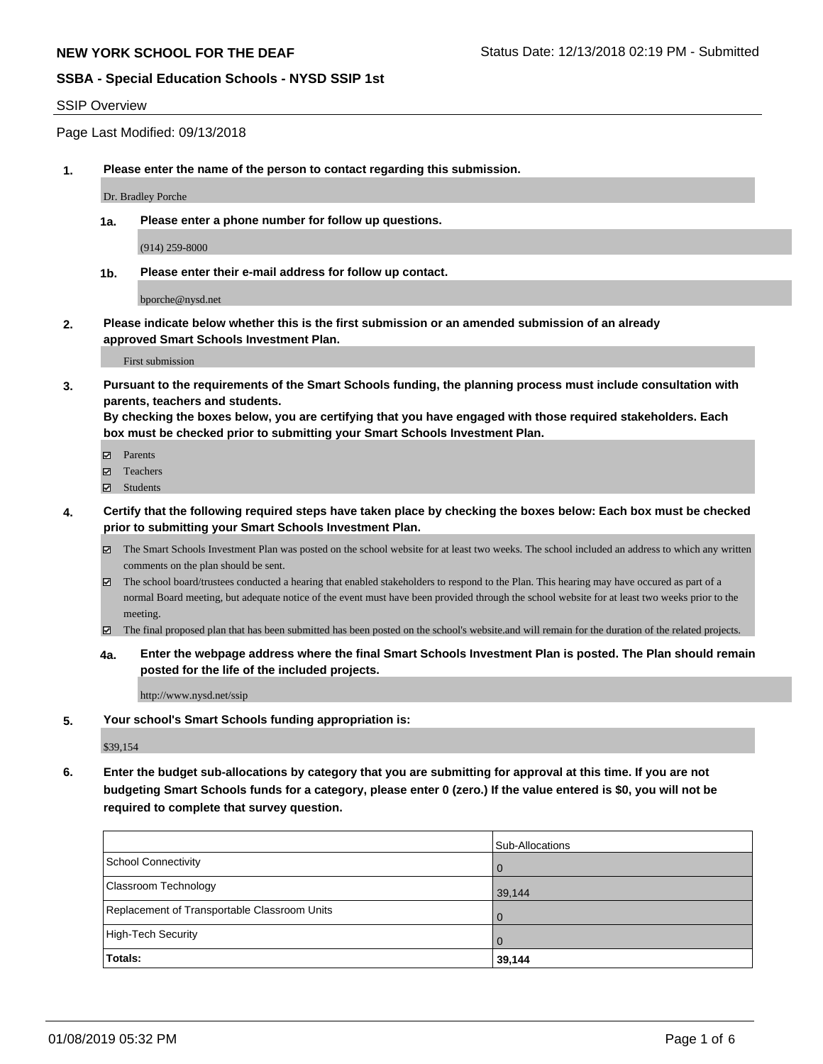#### SSIP Overview

Page Last Modified: 09/13/2018

**1. Please enter the name of the person to contact regarding this submission.**

Dr. Bradley Porche

**1a. Please enter a phone number for follow up questions.**

(914) 259-8000

**1b. Please enter their e-mail address for follow up contact.**

bporche@nysd.net

**2. Please indicate below whether this is the first submission or an amended submission of an already approved Smart Schools Investment Plan.**

First submission

**3. Pursuant to the requirements of the Smart Schools funding, the planning process must include consultation with parents, teachers and students.**

**By checking the boxes below, you are certifying that you have engaged with those required stakeholders. Each box must be checked prior to submitting your Smart Schools Investment Plan.**

- $\blacksquare$  Parents
- Teachers
- Students
- **4. Certify that the following required steps have taken place by checking the boxes below: Each box must be checked prior to submitting your Smart Schools Investment Plan.**
	- $\boxtimes$  The Smart Schools Investment Plan was posted on the school website for at least two weeks. The school included an address to which any written comments on the plan should be sent.
	- $\boxtimes$  The school board/trustees conducted a hearing that enabled stakeholders to respond to the Plan. This hearing may have occured as part of a normal Board meeting, but adequate notice of the event must have been provided through the school website for at least two weeks prior to the meeting.
	- The final proposed plan that has been submitted has been posted on the school's website.and will remain for the duration of the related projects.
	- **4a. Enter the webpage address where the final Smart Schools Investment Plan is posted. The Plan should remain posted for the life of the included projects.**

http://www.nysd.net/ssip

**5. Your school's Smart Schools funding appropriation is:**

\$39,154

**6. Enter the budget sub-allocations by category that you are submitting for approval at this time. If you are not budgeting Smart Schools funds for a category, please enter 0 (zero.) If the value entered is \$0, you will not be required to complete that survey question.**

|                                              | Sub-Allocations |
|----------------------------------------------|-----------------|
| School Connectivity                          | l O             |
| Classroom Technology                         | 39,144          |
| Replacement of Transportable Classroom Units | <b>0</b>        |
| High-Tech Security                           | l O             |
| <b>Totals:</b>                               | 39,144          |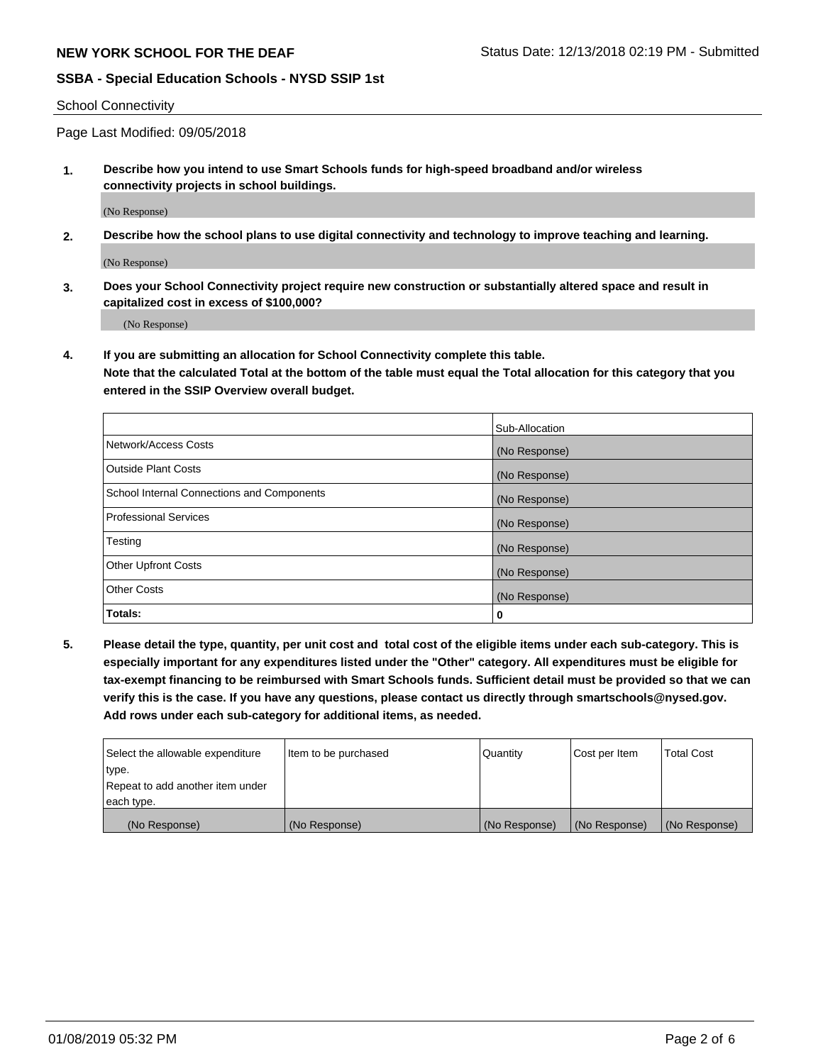School Connectivity

Page Last Modified: 09/05/2018

**1. Describe how you intend to use Smart Schools funds for high-speed broadband and/or wireless connectivity projects in school buildings.**

(No Response)

**2. Describe how the school plans to use digital connectivity and technology to improve teaching and learning.**

(No Response)

**3. Does your School Connectivity project require new construction or substantially altered space and result in capitalized cost in excess of \$100,000?**

(No Response)

**4. If you are submitting an allocation for School Connectivity complete this table.**

**Note that the calculated Total at the bottom of the table must equal the Total allocation for this category that you entered in the SSIP Overview overall budget.** 

|                                            | Sub-Allocation |
|--------------------------------------------|----------------|
| Network/Access Costs                       | (No Response)  |
| <b>Outside Plant Costs</b>                 | (No Response)  |
| School Internal Connections and Components | (No Response)  |
| <b>Professional Services</b>               | (No Response)  |
| Testing                                    | (No Response)  |
| <b>Other Upfront Costs</b>                 | (No Response)  |
| <b>Other Costs</b>                         | (No Response)  |
| Totals:                                    | 0              |

**5. Please detail the type, quantity, per unit cost and total cost of the eligible items under each sub-category. This is especially important for any expenditures listed under the "Other" category. All expenditures must be eligible for tax-exempt financing to be reimbursed with Smart Schools funds. Sufficient detail must be provided so that we can verify this is the case. If you have any questions, please contact us directly through smartschools@nysed.gov. Add rows under each sub-category for additional items, as needed.**

| Select the allowable expenditure | Item to be purchased | Quantity      | Cost per Item | <b>Total Cost</b> |
|----------------------------------|----------------------|---------------|---------------|-------------------|
| type.                            |                      |               |               |                   |
| Repeat to add another item under |                      |               |               |                   |
| each type.                       |                      |               |               |                   |
| (No Response)                    | (No Response)        | (No Response) | (No Response) | (No Response)     |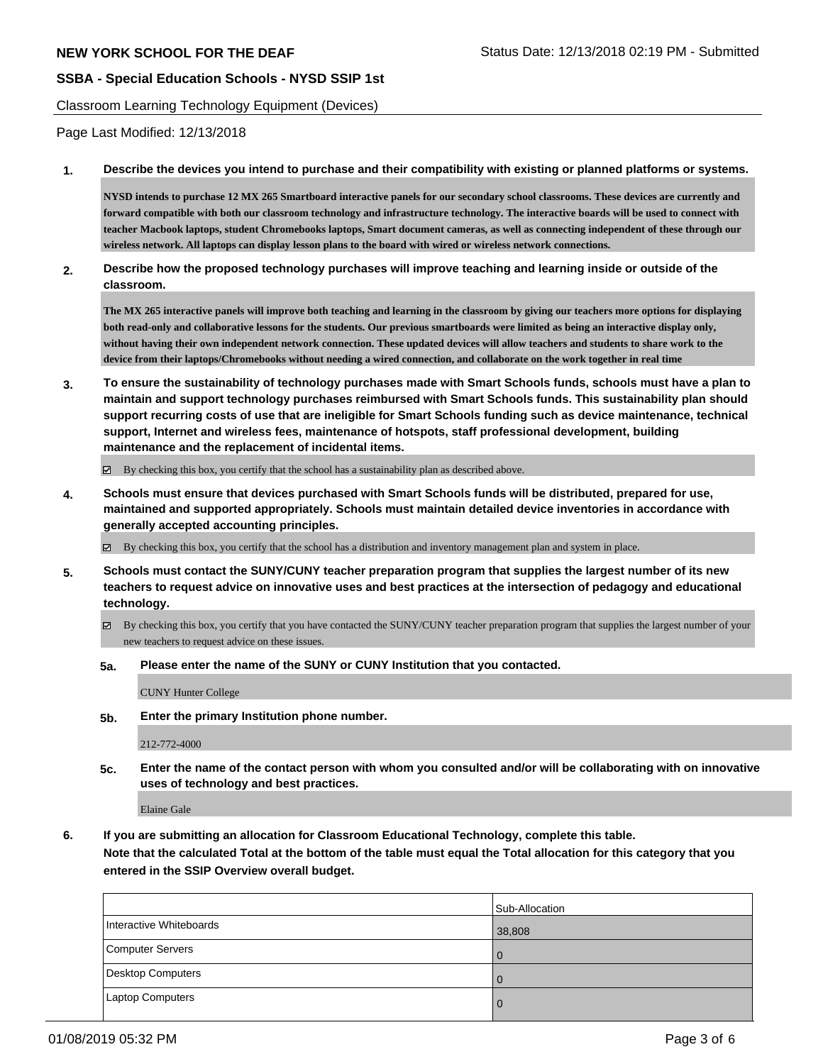Classroom Learning Technology Equipment (Devices)

Page Last Modified: 12/13/2018

**1. Describe the devices you intend to purchase and their compatibility with existing or planned platforms or systems.**

**NYSD intends to purchase 12 MX 265 Smartboard interactive panels for our secondary school classrooms. These devices are currently and forward compatible with both our classroom technology and infrastructure technology. The interactive boards will be used to connect with teacher Macbook laptops, student Chromebooks laptops, Smart document cameras, as well as connecting independent of these through our wireless network. All laptops can display lesson plans to the board with wired or wireless network connections.**

**2. Describe how the proposed technology purchases will improve teaching and learning inside or outside of the classroom.**

**The MX 265 interactive panels will improve both teaching and learning in the classroom by giving our teachers more options for displaying both read-only and collaborative lessons for the students. Our previous smartboards were limited as being an interactive display only, without having their own independent network connection. These updated devices will allow teachers and students to share work to the device from their laptops/Chromebooks without needing a wired connection, and collaborate on the work together in real time**

**3. To ensure the sustainability of technology purchases made with Smart Schools funds, schools must have a plan to maintain and support technology purchases reimbursed with Smart Schools funds. This sustainability plan should support recurring costs of use that are ineligible for Smart Schools funding such as device maintenance, technical support, Internet and wireless fees, maintenance of hotspots, staff professional development, building maintenance and the replacement of incidental items.**

 $\boxtimes$  By checking this box, you certify that the school has a sustainability plan as described above.

- **4. Schools must ensure that devices purchased with Smart Schools funds will be distributed, prepared for use, maintained and supported appropriately. Schools must maintain detailed device inventories in accordance with generally accepted accounting principles.**
	- By checking this box, you certify that the school has a distribution and inventory management plan and system in place.
- **5. Schools must contact the SUNY/CUNY teacher preparation program that supplies the largest number of its new teachers to request advice on innovative uses and best practices at the intersection of pedagogy and educational technology.**
	- $\boxtimes$  By checking this box, you certify that you have contacted the SUNY/CUNY teacher preparation program that supplies the largest number of your new teachers to request advice on these issues.
	- **5a. Please enter the name of the SUNY or CUNY Institution that you contacted.**

CUNY Hunter College

**5b. Enter the primary Institution phone number.**

212-772-4000

**5c. Enter the name of the contact person with whom you consulted and/or will be collaborating with on innovative uses of technology and best practices.**

Elaine Gale

**6. If you are submitting an allocation for Classroom Educational Technology, complete this table. Note that the calculated Total at the bottom of the table must equal the Total allocation for this category that you entered in the SSIP Overview overall budget.**

|                         | Sub-Allocation |
|-------------------------|----------------|
| Interactive Whiteboards | 38,808         |
| Computer Servers        | $\Omega$       |
| Desktop Computers       | $\Omega$       |
| Laptop Computers        | 0              |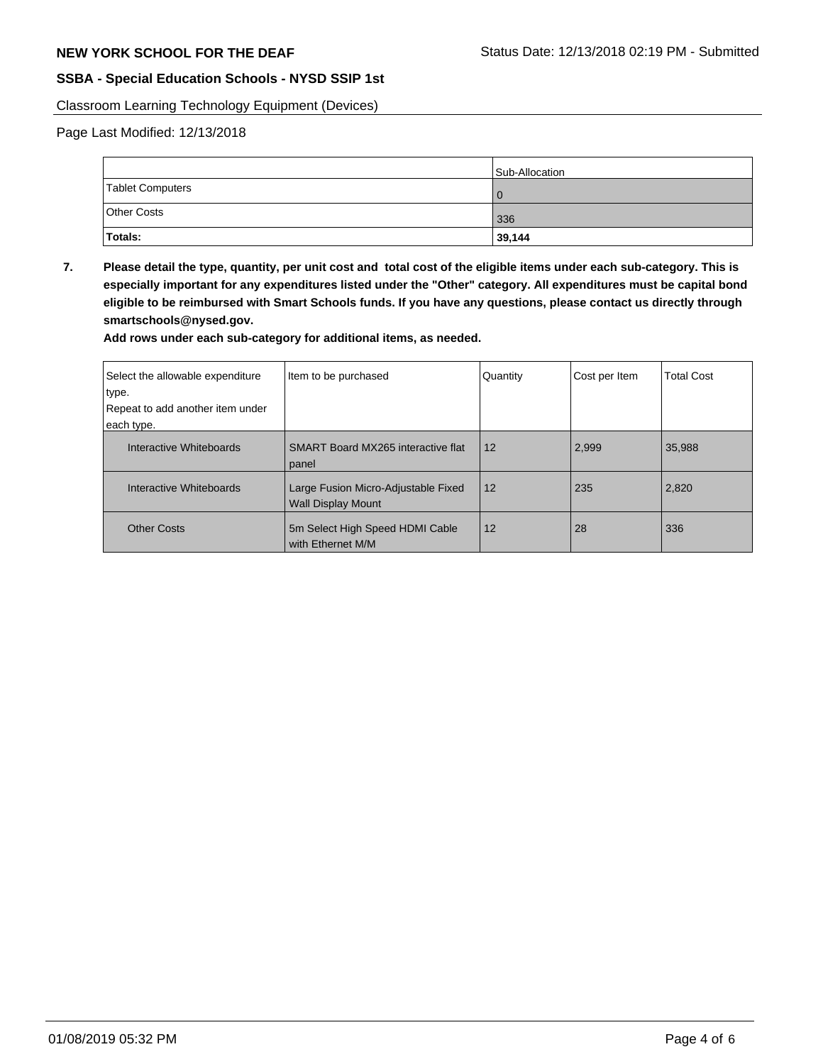Classroom Learning Technology Equipment (Devices)

Page Last Modified: 12/13/2018

|                    | Sub-Allocation |
|--------------------|----------------|
| Tablet Computers   |                |
| <b>Other Costs</b> | 336            |
| Totals:            | 39,144         |

**7. Please detail the type, quantity, per unit cost and total cost of the eligible items under each sub-category. This is especially important for any expenditures listed under the "Other" category. All expenditures must be capital bond eligible to be reimbursed with Smart Schools funds. If you have any questions, please contact us directly through smartschools@nysed.gov.**

**Add rows under each sub-category for additional items, as needed.**

| Select the allowable expenditure<br>∣type.<br>Repeat to add another item under<br>each type. | Item to be purchased                                             | Quantity | Cost per Item | <b>Total Cost</b> |
|----------------------------------------------------------------------------------------------|------------------------------------------------------------------|----------|---------------|-------------------|
| Interactive Whiteboards                                                                      | SMART Board MX265 interactive flat<br>panel                      | 12       | 2,999         | 35,988            |
| Interactive Whiteboards                                                                      | Large Fusion Micro-Adjustable Fixed<br><b>Wall Display Mount</b> | 12       | 235           | 2,820             |
| <b>Other Costs</b>                                                                           | 5m Select High Speed HDMI Cable<br>with Ethernet M/M             | 12       | 28            | 336               |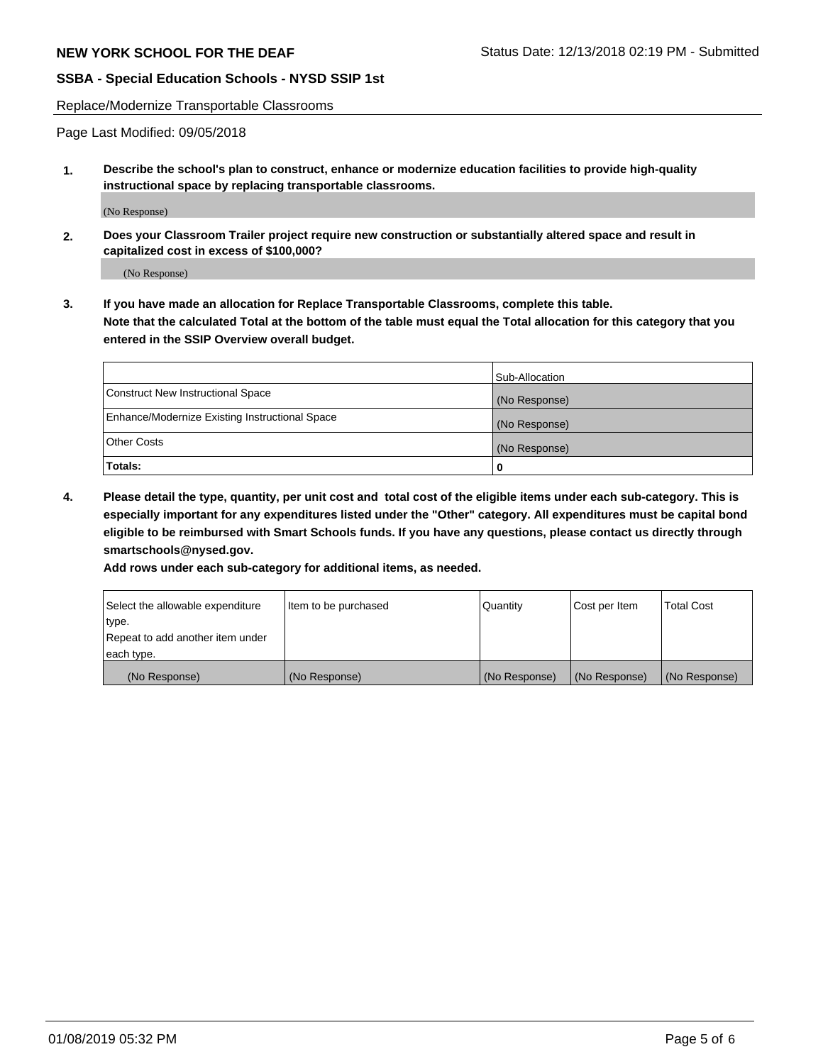Replace/Modernize Transportable Classrooms

Page Last Modified: 09/05/2018

**1. Describe the school's plan to construct, enhance or modernize education facilities to provide high-quality instructional space by replacing transportable classrooms.**

(No Response)

**2. Does your Classroom Trailer project require new construction or substantially altered space and result in capitalized cost in excess of \$100,000?**

(No Response)

**3. If you have made an allocation for Replace Transportable Classrooms, complete this table. Note that the calculated Total at the bottom of the table must equal the Total allocation for this category that you entered in the SSIP Overview overall budget.**

|                                                | Sub-Allocation |
|------------------------------------------------|----------------|
| Construct New Instructional Space              | (No Response)  |
| Enhance/Modernize Existing Instructional Space | (No Response)  |
| Other Costs                                    | (No Response)  |
| Totals:                                        | 0              |

**4. Please detail the type, quantity, per unit cost and total cost of the eligible items under each sub-category. This is especially important for any expenditures listed under the "Other" category. All expenditures must be capital bond eligible to be reimbursed with Smart Schools funds. If you have any questions, please contact us directly through smartschools@nysed.gov.**

**Add rows under each sub-category for additional items, as needed.**

| Select the allowable expenditure | Item to be purchased | Quantity      | Cost per Item | <b>Total Cost</b> |
|----------------------------------|----------------------|---------------|---------------|-------------------|
| type.                            |                      |               |               |                   |
| Repeat to add another item under |                      |               |               |                   |
| each type.                       |                      |               |               |                   |
| (No Response)                    | (No Response)        | (No Response) | (No Response) | (No Response)     |